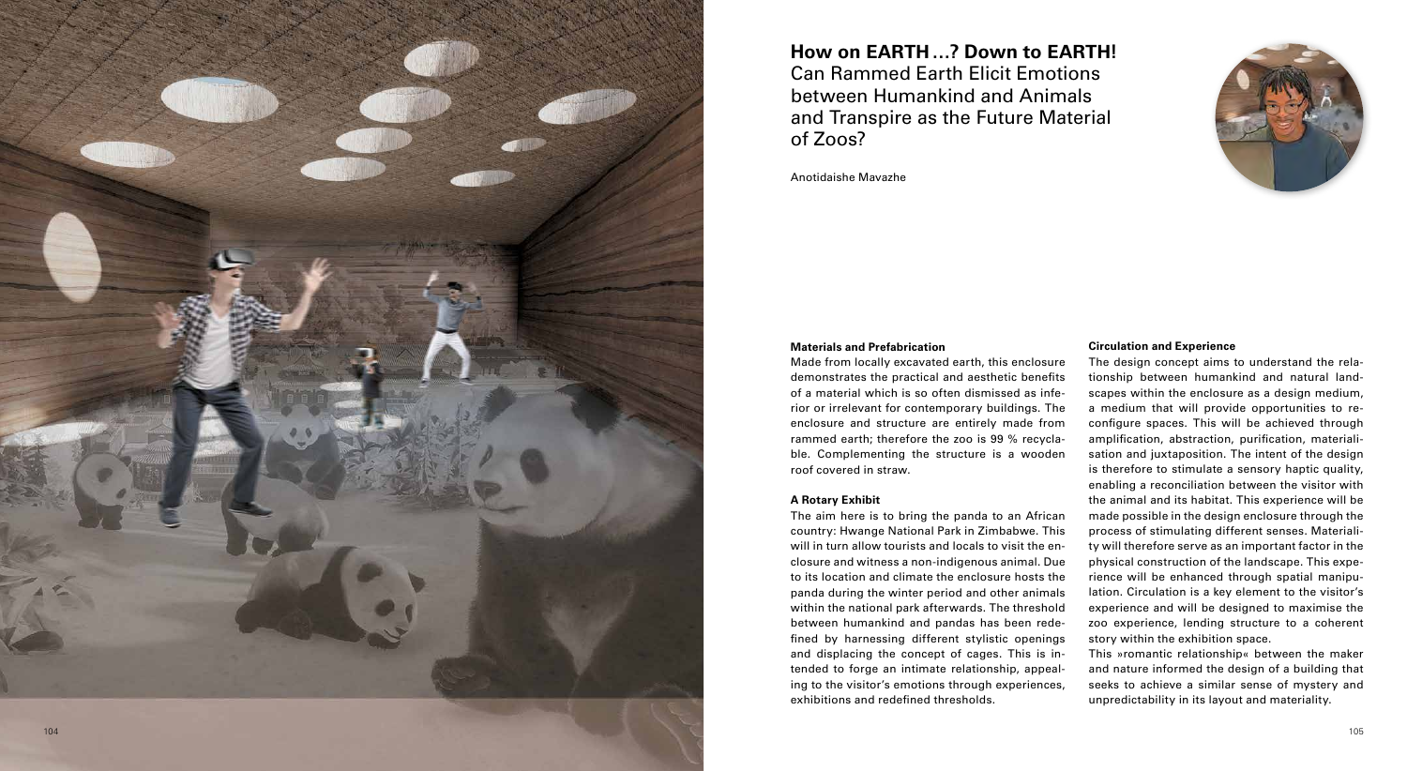## **Materials and Prefabrication**

# **Circulation and Experience**

of a material which is so often dismissed as infe rammed earth; therefore the zoo is 99 % recycla will in turn allow tourists and locals to visit the en between humankind and pandas has been rede - The design concept aims to understand the rela tionship between humankind and natural land a medium that will provide opportunities to re amplification, abstraction, purification, materiali process of stimulating different senses. Materiali physical construction of the landscape. This expe rience will be enhanced through spatial manipu story within the exhibition space.

Made from locally excavated earth, this enclosure demonstrates the practical and aesthetic benefits rior or irrelevant for contemporary buildings. The enclosure and structure are entirely made from ble. Complementing the structure is a wooden roof covered in straw. **A Rotary Exhibit**  The aim here is to bring the panda to an African country: Hwange National Park in Zimbabwe. This closure and witness a non-indigenous animal. Due to its location and climate the enclosure hosts the panda during the winter period and other animals within the national park afterwards. The threshold fined by harnessing different stylistic openings and displacing the concept of cages. This is in tended to forge an intimate relationship, appeal ing to the visitor's emotions through experiences, exhibitions and redefined thresholds. scapes within the enclosure as a design medium, configure spaces. This will be achieved through sation and juxtaposition. The intent of the design is therefore to stimulate a sensory haptic quality, enabling a reconciliation between the visitor with the animal and its habitat. This experience will be made possible in the design enclosure through the ty will therefore serve as an important factor in the lation. Circulation is a key element to the visitor's experience and will be designed to maximise the zoo experience, lending structure to a coherent This »romantic relationship« between the maker and nature informed the design of a building that seeks to achieve a similar sense of mystery and unpredictability in its layout and materiality.



# **How on EARTH …? Down to EARTH!**  Can Rammed Earth Elicit Emotions between Humankind and Animals and Transpire as the Future Material of Zoos?

Anotidaishe Mavazhe

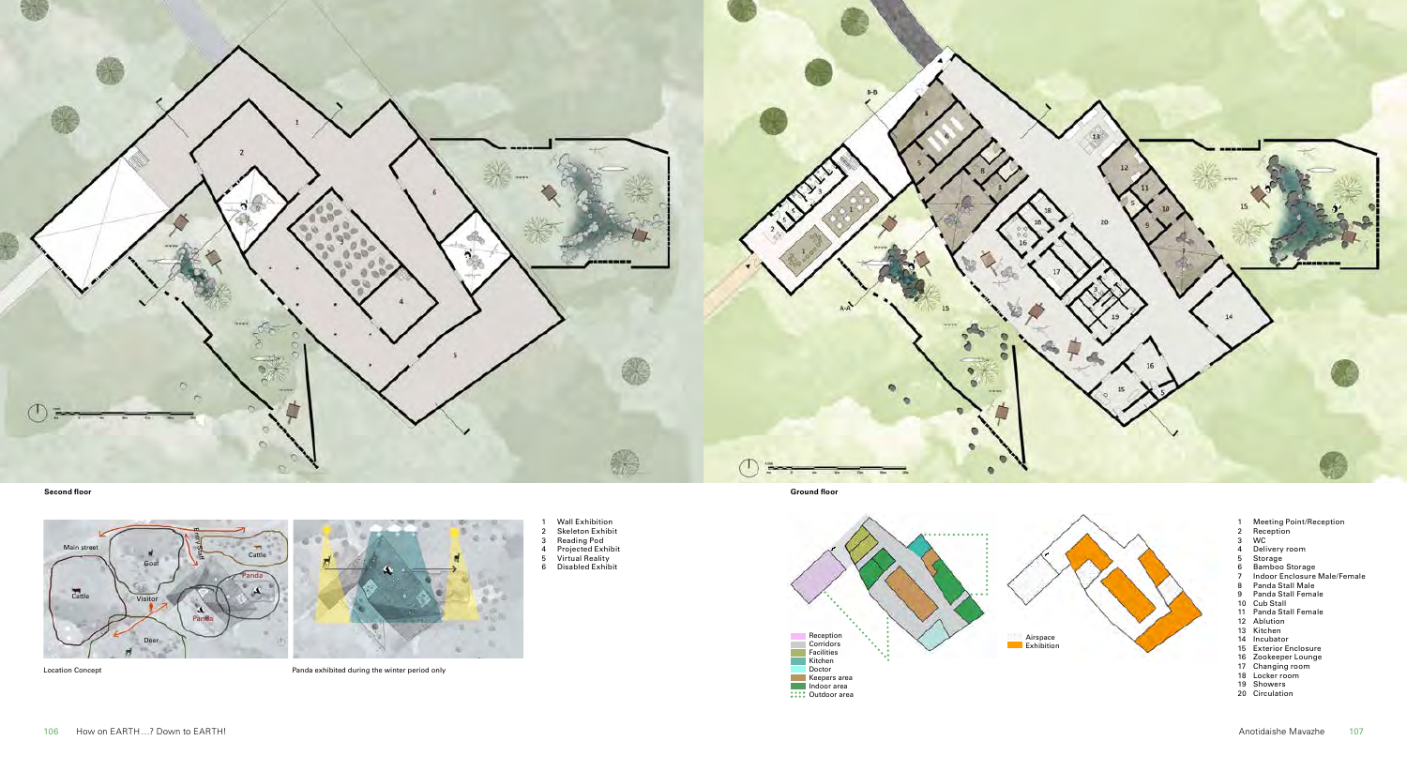

1 Wall Exhibition<br>2 Skeleton Exhibit<br>3 Reading Pod<br><sup>4</sup> Projected Exhibit<br>5 Virtual Reality<br>6 Disabled Exhibit

Location Concept Panda exhibited during the winter period only

**Second floor Ground floor**





- 1 Meeting Point/Reception 2 Reception 3 WC
- 
- 
- 
- 
- 
- 4 Delivery room<br>5 Storage<br>6 Bamboo Storage<br>7 Indoor Enclosure Male/Female<br>8 Panda Stall Male
- 
- 9 Panda Stall Female
- 
- 10 Cub Stall 11 Panda Stall Female
- 12 Ablution
- 13 Kitchen
- 
- 14 Incubator 15 Exterior Enclosure
- 16 Zookeeper Lounge 17 Changing room 18 Locker room 19 Showers
- 
- 
- 20 Circulation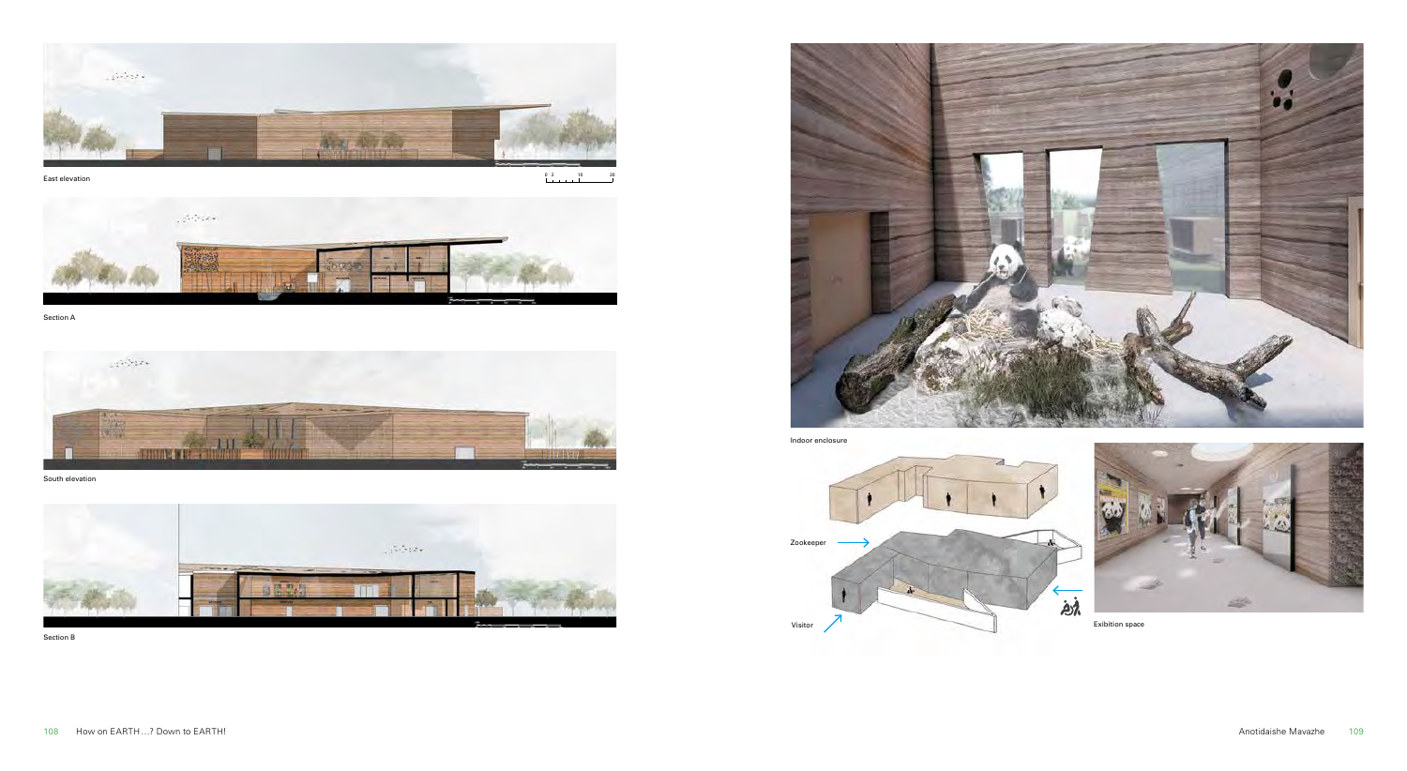

East elevation

 $\begin{array}{cccc}\n0 & 2 & & & 10 \\
& & & & & \n\end{array}$  $\overline{2}$ 



Section A



South elevation



Section B



Indoor enclosure